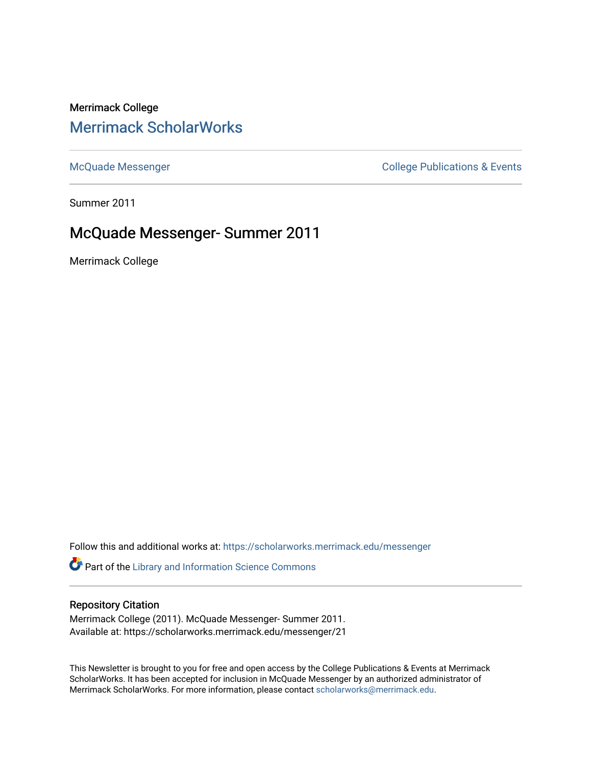# Merrimack College [Merrimack ScholarWorks](https://scholarworks.merrimack.edu/)

[McQuade Messenger](https://scholarworks.merrimack.edu/messenger) College Publications & Events

Summer 2011

# McQuade Messenger- Summer 2011

Merrimack College

Follow this and additional works at: [https://scholarworks.merrimack.edu/messenger](https://scholarworks.merrimack.edu/messenger?utm_source=scholarworks.merrimack.edu%2Fmessenger%2F21&utm_medium=PDF&utm_campaign=PDFCoverPages) 

Part of the [Library and Information Science Commons](http://network.bepress.com/hgg/discipline/1018?utm_source=scholarworks.merrimack.edu%2Fmessenger%2F21&utm_medium=PDF&utm_campaign=PDFCoverPages) 

# Repository Citation

Merrimack College (2011). McQuade Messenger- Summer 2011. Available at: https://scholarworks.merrimack.edu/messenger/21

This Newsletter is brought to you for free and open access by the College Publications & Events at Merrimack ScholarWorks. It has been accepted for inclusion in McQuade Messenger by an authorized administrator of Merrimack ScholarWorks. For more information, please contact [scholarworks@merrimack.edu](mailto:scholarworks@merrimack.edu).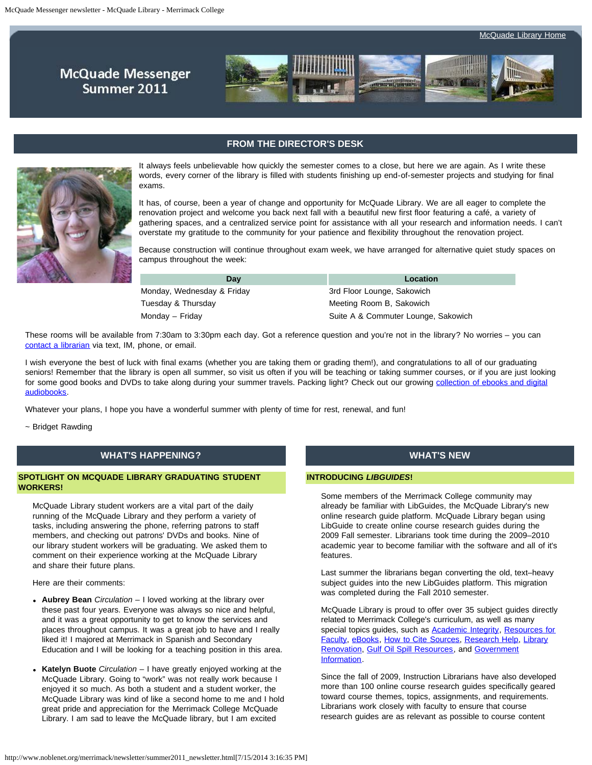**McQuade Messenger** Summer 2011



# **FROM THE DIRECTOR'S DESK**

<span id="page-1-0"></span>

It always feels unbelievable how quickly the semester comes to a close, but here we are again. As I write these words, every corner of the library is filled with students finishing up end-of-semester projects and studying for final exams.

It has, of course, been a year of change and opportunity for McQuade Library. We are all eager to complete the renovation project and welcome you back next fall with a beautiful new first floor featuring a café, a variety of gathering spaces, and a centralized service point for assistance with all your research and information needs. I can't overstate my gratitude to the community for your patience and flexibility throughout the renovation project.

Because construction will continue throughout exam week, we have arranged for alternative quiet study spaces on campus throughout the week:

| Dav                        | Location                            |
|----------------------------|-------------------------------------|
| Monday, Wednesday & Friday | 3rd Floor Lounge, Sakowich          |
| Tuesday & Thursday         | Meeting Room B, Sakowich            |
| Monday – Friday            | Suite A & Commuter Lounge, Sakowich |

These rooms will be available from 7:30am to 3:30pm each day. Got a reference question and you're not in the library? No worries – you can [contact a librarian](http://www.noblenet.org/merrimack/contact.htm) via text, IM, phone, or email.

I wish everyone the best of luck with final exams (whether you are taking them or grading them!), and congratulations to all of our graduating seniors! Remember that the library is open all summer, so visit us often if you will be teaching or taking summer courses, or if you are just looking for some good books and DVDs to take along during your summer travels. Packing light? Check out our growing [collection of ebooks and digital](http://overdrive.noblenet.org/) [audiobooks.](http://overdrive.noblenet.org/)

Whatever your plans, I hope you have a wonderful summer with plenty of time for rest, renewal, and fun!

~ Bridget Rawding

# **WHAT'S HAPPENING?**

## **SPOTLIGHT ON MCQUADE LIBRARY GRADUATING STUDENT WORKERS!**

McQuade Library student workers are a vital part of the daily running of the McQuade Library and they perform a variety of tasks, including answering the phone, referring patrons to staff members, and checking out patrons' DVDs and books. Nine of our library student workers will be graduating. We asked them to comment on their experience working at the McQuade Library and share their future plans.

Here are their comments:

- **Aubrey Bean** *Circulation* I loved working at the library over these past four years. Everyone was always so nice and helpful, and it was a great opportunity to get to know the services and places throughout campus. It was a great job to have and I really liked it! I majored at Merrimack in Spanish and Secondary Education and I will be looking for a teaching position in this area.
- **Katelyn Buote** *Circulation* I have greatly enjoyed working at the McQuade Library. Going to "work" was not really work because I enjoyed it so much. As both a student and a student worker, the McQuade Library was kind of like a second home to me and I hold great pride and appreciation for the Merrimack College McQuade Library. I am sad to leave the McQuade library, but I am excited

#### **WHAT'S NEW**

#### **INTRODUCING** *LIBGUIDES***!**

Some members of the Merrimack College community may already be familiar with LibGuides, the McQuade Library's new online research guide platform. McQuade Library began using LibGuide to create online course research guides during the 2009 Fall semester. Librarians took time during the 2009–2010 academic year to become familiar with the software and all of it's features.

Last summer the librarians began converting the old, text–heavy subject guides into the new LibGuides platform. This migration was completed during the Fall 2010 semester.

McQuade Library is proud to offer over 35 subject guides directly related to Merrimack College's curriculum, as well as many special topics guides, such as **Academic Integrity**, [Resources for](http://libguides.merrimack.edu/faculty_resources) [Faculty](http://libguides.merrimack.edu/faculty_resources), [eBooks](http://libguides.merrimack.edu/ebooks), [How to Cite Sources](http://libguides.merrimack.edu/citing_sources), [Research Help,](http://libguides.merrimack.edu/research_help) [Library](http://libguides.merrimack.edu/libraryrenovation) [Renovation](http://libguides.merrimack.edu/libraryrenovation), [Gulf Oil Spill Resources,](http://libguides.merrimack.edu/gulfoilspill) and [Government](http://libguides.merrimack.edu/governmentinformation) [Information](http://libguides.merrimack.edu/governmentinformation).

Since the fall of 2009, Instruction Librarians have also developed more than 100 online course research guides specifically geared toward course themes, topics, assignments, and requirements. Librarians work closely with faculty to ensure that course research guides are as relevant as possible to course content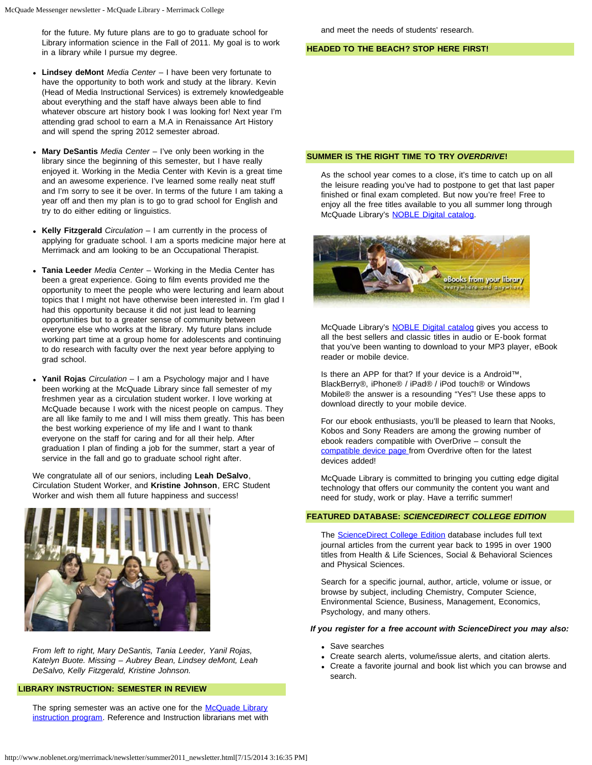for the future. My future plans are to go to graduate school for Library information science in the Fall of 2011. My goal is to work in a library while I pursue my degree.

- **Lindsey deMont** *Media Center* I have been very fortunate to have the opportunity to both work and study at the library. Kevin (Head of Media Instructional Services) is extremely knowledgeable about everything and the staff have always been able to find whatever obscure art history book I was looking for! Next year I'm attending grad school to earn a M.A in Renaissance Art History and will spend the spring 2012 semester abroad.
- **Mary DeSantis** *Media Center* I've only been working in the library since the beginning of this semester, but I have really enjoyed it. Working in the Media Center with Kevin is a great time and an awesome experience. I've learned some really neat stuff and I'm sorry to see it be over. In terms of the future I am taking a year off and then my plan is to go to grad school for English and try to do either editing or linguistics.
- **Kelly Fitzgerald** *Circulation* I am currently in the process of applying for graduate school. I am a sports medicine major here at Merrimack and am looking to be an Occupational Therapist.
- **Tania Leeder** *Media Center* Working in the Media Center has been a great experience. Going to film events provided me the opportunity to meet the people who were lecturing and learn about topics that I might not have otherwise been interested in. I'm glad I had this opportunity because it did not just lead to learning opportunities but to a greater sense of community between everyone else who works at the library. My future plans include working part time at a group home for adolescents and continuing to do research with faculty over the next year before applying to grad school.
- **Yanil Rojas** *Circulation* I am a Psychology major and I have been working at the McQuade Library since fall semester of my freshmen year as a circulation student worker. I love working at McQuade because I work with the nicest people on campus. They are all like family to me and I will miss them greatly. This has been the best working experience of my life and I want to thank everyone on the staff for caring and for all their help. After graduation I plan of finding a job for the summer, start a year of service in the fall and go to graduate school right after.

We congratulate all of our seniors, including **Leah DeSalvo**, Circulation Student Worker, and **Kristine Johnson**, ERC Student Worker and wish them all future happiness and success!



*From left to right, Mary DeSantis, Tania Leeder, Yanil Rojas, Katelyn Buote. Missing – Aubrey Bean, Lindsey deMont, Leah DeSalvo, Kelly Fitzgerald, Kristine Johnson.*

#### **LIBRARY INSTRUCTION: SEMESTER IN REVIEW**

The spring semester was an active one for the [McQuade Library](http://libguides.merrimack.edu/information_literacy) [instruction program](http://libguides.merrimack.edu/information_literacy). Reference and Instruction librarians met with

#### **HEADED TO THE BEACH? STOP HERE FIRST!**

## **SUMMER IS THE RIGHT TIME TO TRY** *OVERDRIVE***!**

As the school year comes to a close, it's time to catch up on all the leisure reading you've had to postpone to get that last paper finished or final exam completed. But now you're free! Free to enjoy all the free titles available to you all summer long through McQuade Library's [NOBLE Digital catalog.](http://noble.lib.overdrive.com/)



McQuade Library's **NOBLE Digital catalog** gives you access to all the best sellers and classic titles in audio or E-book format that you've been wanting to download to your MP3 player, eBook reader or mobile device.

Is there an APP for that? If your device is a Android™, BlackBerry®, iPhone® / iPad® / iPod touch® or Windows Mobile® the answer is a resounding "Yes"! Use these apps to download directly to your mobile device.

For our ebook enthusiasts, you'll be pleased to learn that Nooks, Kobos and Sony Readers are among the growing number of ebook readers compatible with OverDrive – consult the [compatible device page](http://www.overdrive.com/resources/drc/) from Overdrive often for the latest devices added!

McQuade Library is committed to bringing you cutting edge digital technology that offers our community the content you want and need for study, work or play. Have a terrific summer!

#### **FEATURED DATABASE:** *SCIENCEDIRECT COLLEGE EDITION*

The **ScienceDirect College Edition** database includes full text journal articles from the current year back to 1995 in over 1900 titles from Health & Life Sciences, Social & Behavioral Sciences and Physical Sciences.

Search for a specific journal, author, article, volume or issue, or browse by subject, including Chemistry, Computer Science, Environmental Science, Business, Management, Economics, Psychology, and many others.

#### *If you register for a free account with ScienceDirect you may also:*

- Save searches
- Create search alerts, volume/issue alerts, and citation alerts.
- Create a favorite journal and book list which you can browse and search.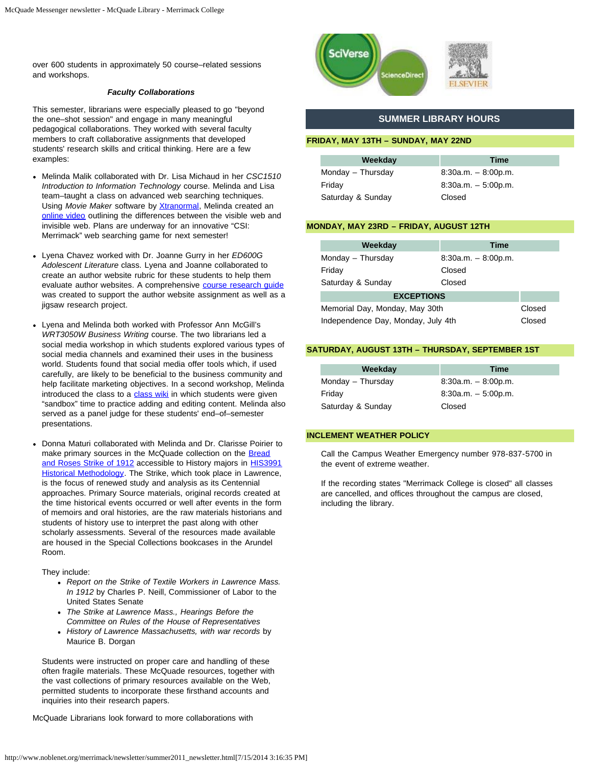over 600 students in approximately 50 course–related sessions and workshops.

#### *Faculty Collaborations*

This semester, librarians were especially pleased to go "beyond the one–shot session" and engage in many meaningful pedagogical collaborations. They worked with several faculty members to craft collaborative assignments that developed students' research skills and critical thinking. Here are a few examples:

- Melinda Malik collaborated with Dr. Lisa Michaud in her *CSC1510 Introduction to Information Technology* course. Melinda and Lisa team–taught a class on advanced web searching techniques. Using Movie Maker software by [Xtranormal,](http://www.xtranormal.com/) Melinda created an [online video](http://www.xtranormal.com/watch/11812231/visible-vs-invisible-web-final-version) outlining the differences between the visible web and invisible web. Plans are underway for an innovative "CSI: Merrimack" web searching game for next semester!
- Lyena Chavez worked with Dr. Joanne Gurry in her *ED600G Adolescent Literature* class. Lyena and Joanne collaborated to create an author website rubric for these students to help them evaluate author websites. A comprehensive [course research guide](http://libguides.merrimack.edu/ED600G) was created to support the author website assignment as well as a jigsaw research project.
- Lyena and Melinda both worked with Professor Ann McGill's *WRT3050W Business Writing* course. The two librarians led a social media workshop in which students explored various types of social media channels and examined their uses in the business world. Students found that social media offer tools which, if used carefully, are likely to be beneficial to the business community and help facilitate marketing objectives. In a second workshop, Melinda introduced the class to a [class wiki](http://server1.noblenet.org/merrimack/wiki/index.php/WRT3050W_Business_Writing) in which students were given "sandbox" time to practice adding and editing content. Melinda also served as a panel judge for these students' end–of–semester presentations.
- Donna Maturi collaborated with Melinda and Dr. Clarisse Poirier to make primary sources in the McQuade collection on the [Bread](http://www.breadandrosescentennial.org/) [and Roses Strike of 1912](http://www.breadandrosescentennial.org/) accessible to History majors in **[HIS3991](http://libguides.merrimack.edu/content.php?pid=178487)** [Historical Methodology](http://libguides.merrimack.edu/content.php?pid=178487). The Strike, which took place in Lawrence, is the focus of renewed study and analysis as its Centennial approaches. Primary Source materials, original records created at the time historical events occurred or well after events in the form of memoirs and oral histories, are the raw materials historians and students of history use to interpret the past along with other scholarly assessments. Several of the resources made available are housed in the Special Collections bookcases in the Arundel Room.

They include:

- *Report on the Strike of Textile Workers in Lawrence Mass. In 1912* by Charles P. Neill, Commissioner of Labor to the United States Senate
- *The Strike at Lawrence Mass., Hearings Before the Committee on Rules of the House of Representatives*
- *History of Lawrence Massachusetts, with war records* by Maurice B. Dorgan

Students were instructed on proper care and handling of these often fragile materials. These McQuade resources, together with the vast collections of primary resources available on the Web, permitted students to incorporate these firsthand accounts and inquiries into their research papers.

McQuade Librarians look forward to more collaborations with



# **SUMMER LIBRARY HOURS**

#### **FRIDAY, MAY 13TH – SUNDAY, MAY 22ND**

| Weekday           | Time                  |
|-------------------|-----------------------|
| Monday - Thursday | $8:30a.m. - 8:00p.m.$ |
| Friday            | $8:30a.m. - 5:00p.m.$ |
| Saturday & Sunday | Closed                |

#### **MONDAY, MAY 23RD – FRIDAY, AUGUST 12TH**

| Weekday                            | <b>Time</b>           |        |
|------------------------------------|-----------------------|--------|
| Monday - Thursday                  | $8:30a.m. - 8:00p.m.$ |        |
| Friday                             | Closed                |        |
| Saturday & Sunday                  | Closed                |        |
| <b>EXCEPTIONS</b>                  |                       |        |
| Memorial Day, Monday, May 30th     |                       | Closed |
| Independence Day, Monday, July 4th |                       | Closed |

# **SATURDAY, AUGUST 13TH – THURSDAY, SEPTEMBER 1ST**

| Weekday           | Time                  |
|-------------------|-----------------------|
| Monday - Thursday | $8:30a.m. - 8:00p.m.$ |
| Friday            | $8:30a.m. - 5:00p.m.$ |
| Saturday & Sunday | Closed                |

#### **INCLEMENT WEATHER POLICY**

Call the Campus Weather Emergency number 978-837-5700 in the event of extreme weather.

If the recording states "Merrimack College is closed" all classes are cancelled, and offices throughout the campus are closed, including the library.